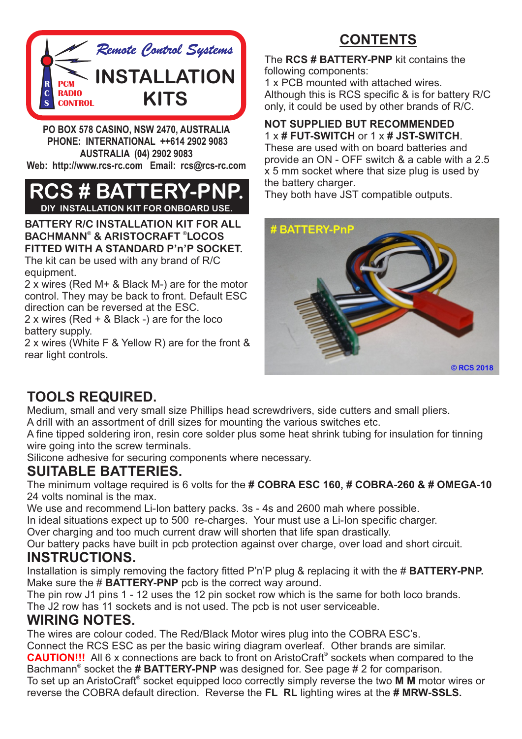

**PO BOX 578 CASINO, NSW 2470, AUSTRALIA PHONE: INTERNATIONAL ++614 2902 9083 AUSTRALIA (04) 2902 9083 Web: http://www.rcs-rc.com Email: rcs@rcs-rc.com**

### **RCS # BATTERY-PNP. DIY INSTALLATION KIT FOR ONBOARD USE.**

**BATTERY R/C INSTALLATION KIT FOR ALL BACHMANN<sup>®</sup> & ARISTOCRAFT <sup>®</sup>LOCOS FITTED WITH A STANDARD P'n'P SOCKET.**

The kit can be used with any brand of R/C equipment.

2 x wires (Red M+ & Black M-) are for the motor control. They may be back to front. Default ESC direction can be reversed at the ESC.

2 x wires (Red + & Black -) are for the loco battery supply.

2 x wires (White F & Yellow R) are for the front & rear light controls.

## **CONTENTS**

The **RCS # BATTERY-PNP** kit contains the following components:

1 x PCB mounted with attached wires. Although this is RCS specific & is for battery R/C only, it could be used by other brands of R/C.

#### **NOT SUPPLIED BUT RECOMMENDED** 1 x **# FUT-SWITCH** or 1 x **# JST-SWITCH**.

These are used with on board batteries and provide an ON - OFF switch & a cable with a 2.5 x 5 mm socket where that size plug is used by the battery charger.

They both have JST compatible outputs.



# **TOOLS REQUIRED.**

Medium, small and very small size Phillips head screwdrivers, side cutters and small pliers. A drill with an assortment of drill sizes for mounting the various switches etc.

A fine tipped soldering iron, resin core solder plus some heat shrink tubing for insulation for tinning wire going into the screw terminals.

Silicone adhesive for securing components where necessary.

### **SUITABLE BATTERIES.**

The minimum voltage required is 6 volts for the **# COBRA ESC 160, # COBRA-260 & # OMEGA-10** 24 volts nominal is the max.

We use and recommend Li-Ion battery packs. 3s - 4s and 2600 mah where possible.

In ideal situations expect up to 500 re-charges. Your must use a Li-Ion specific charger.

Over charging and too much current draw will shorten that life span drastically.

Our battery packs have built in pcb protection against over charge, over load and short circuit. **INSTRUCTIONS.**

#### Installation is simply removing the factory fitted P'n'P plug & replacing it with the # **BATTERY-PNP.** Make sure the # **BATTERY-PNP** pcb is the correct way around.

The pin row J1 pins 1 - 12 uses the 12 pin socket row which is the same for both loco brands.

The J2 row has 11 sockets and is not used. The pcb is not user serviceable.

## **WIRING NOTES.**

The wires are colour coded. The Red/Black Motor wires plug into the COBRA ESC's. Connect the RCS ESC as per the basic wiring diagram overleaf. Other brands are similar. **CAUTION!!!** All 6 x connections are back to front on AristoCraft<sup>®</sup> sockets when compared to the Bachmann<sup>®</sup> socket the **# BATTERY-PNP** was designed for. See page # 2 for comparison. To set up an AristoCraft® socket equipped loco correctly simply reverse the two M M motor wires or reverse the COBRA default direction. Reverse the **FL RL** lighting wires at the **# MRW-SSLS.**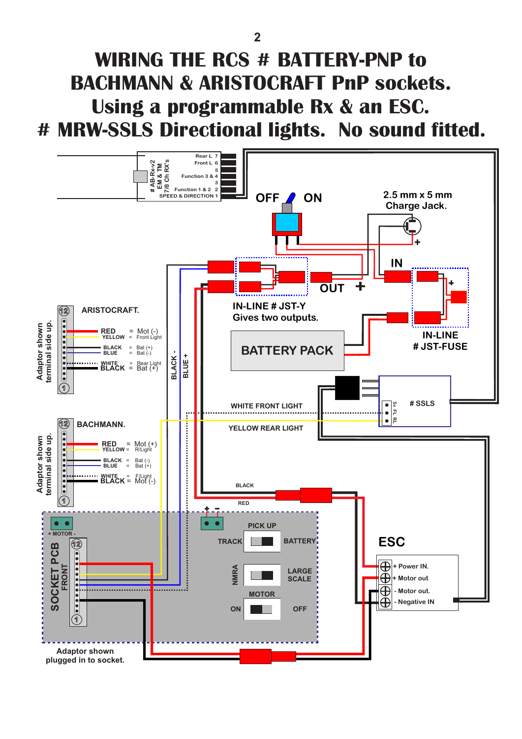# **WIRING THE RCS # BATTERY-PNP to BACHMANN & ARISTOCRAFT PnP sockets. Using a programmable Rx & an ESC. # MRW-SSLS Directional lights. No sound fitted.**